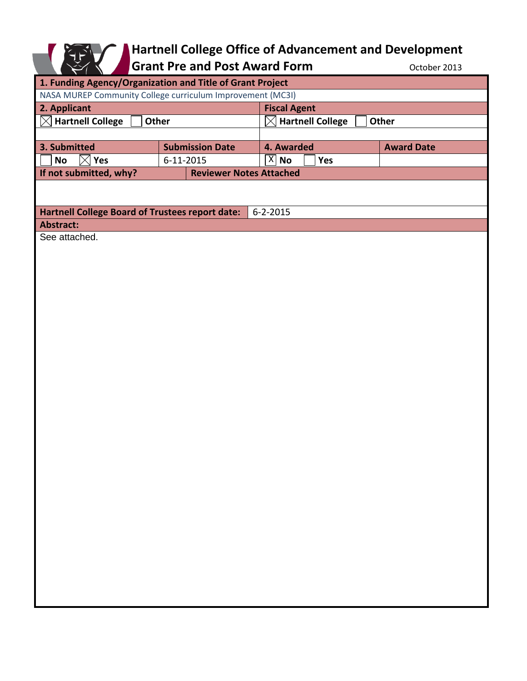## **Hartnell College Office of Advancement and Development**

Grant Pre and Post Award Form **Contact Award** Form **CONTER** October 2013

| 1. Funding Agency/Organization and Title of Grant Project         |                        |                                |                                               |     |                   |
|-------------------------------------------------------------------|------------------------|--------------------------------|-----------------------------------------------|-----|-------------------|
| NASA MUREP Community College curriculum Improvement (MC3I)        |                        |                                |                                               |     |                   |
| 2. Applicant                                                      |                        |                                | <b>Fiscal Agent</b>                           |     |                   |
| $\boxtimes$ Hartnell College<br>Other                             |                        |                                | <b>Hartnell College</b><br><b>Other</b><br>IХ |     |                   |
|                                                                   |                        |                                |                                               |     |                   |
| 3. Submitted                                                      | <b>Submission Date</b> |                                | 4. Awarded                                    |     | <b>Award Date</b> |
| Yes<br><b>No</b><br>$\times$                                      | $6 - 11 - 2015$        |                                | $ \overline{X} $ No                           | Yes |                   |
| If not submitted, why?                                            |                        | <b>Reviewer Notes Attached</b> |                                               |     |                   |
|                                                                   |                        |                                |                                               |     |                   |
|                                                                   |                        |                                |                                               |     |                   |
| Hartnell College Board of Trustees report date:<br>$6 - 2 - 2015$ |                        |                                |                                               |     |                   |
| Abstract:                                                         |                        |                                |                                               |     |                   |
| See attached.                                                     |                        |                                |                                               |     |                   |
|                                                                   |                        |                                |                                               |     |                   |
|                                                                   |                        |                                |                                               |     |                   |
|                                                                   |                        |                                |                                               |     |                   |
|                                                                   |                        |                                |                                               |     |                   |
|                                                                   |                        |                                |                                               |     |                   |
|                                                                   |                        |                                |                                               |     |                   |
|                                                                   |                        |                                |                                               |     |                   |
|                                                                   |                        |                                |                                               |     |                   |
|                                                                   |                        |                                |                                               |     |                   |
|                                                                   |                        |                                |                                               |     |                   |
|                                                                   |                        |                                |                                               |     |                   |
|                                                                   |                        |                                |                                               |     |                   |
|                                                                   |                        |                                |                                               |     |                   |
|                                                                   |                        |                                |                                               |     |                   |
|                                                                   |                        |                                |                                               |     |                   |
|                                                                   |                        |                                |                                               |     |                   |
|                                                                   |                        |                                |                                               |     |                   |
|                                                                   |                        |                                |                                               |     |                   |
|                                                                   |                        |                                |                                               |     |                   |
|                                                                   |                        |                                |                                               |     |                   |
|                                                                   |                        |                                |                                               |     |                   |
|                                                                   |                        |                                |                                               |     |                   |
|                                                                   |                        |                                |                                               |     |                   |
|                                                                   |                        |                                |                                               |     |                   |
|                                                                   |                        |                                |                                               |     |                   |
|                                                                   |                        |                                |                                               |     |                   |
|                                                                   |                        |                                |                                               |     |                   |
|                                                                   |                        |                                |                                               |     |                   |
|                                                                   |                        |                                |                                               |     |                   |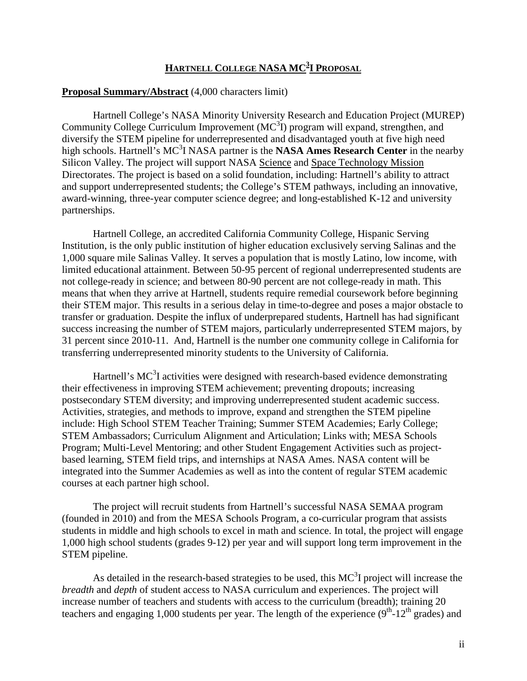## $\frac{\text{HARTNELL COLLEGE NASA MC^3 \text{I PROPOSAL}}{A}}$

## **Proposal Summary/Abstract** (4,000 characters limit)

Hartnell College's NASA Minority University Research and Education Project (MUREP) Community College Curriculum Improvement  $(MC^3I)$  program will expand, strengthen, and diversify the STEM pipeline for underrepresented and disadvantaged youth at five high need high schools. Hartnell's MC<sup>3</sup>I NASA partner is the NASA Ames Research Center in the nearby Silicon Valley. The project will support NASA Science and Space Technology Mission Directorates. The project is based on a solid foundation, including: Hartnell's ability to attract and support underrepresented students; the College's STEM pathways, including an innovative, award-winning, three-year computer science degree; and long-established K-12 and university partnerships.

Hartnell College, an accredited California Community College, Hispanic Serving Institution, is the only public institution of higher education exclusively serving Salinas and the 1,000 square mile Salinas Valley. It serves a population that is mostly Latino, low income, with limited educational attainment. Between 50-95 percent of regional underrepresented students are not college-ready in science; and between 80-90 percent are not college-ready in math. This means that when they arrive at Hartnell, students require remedial coursework before beginning their STEM major. This results in a serious delay in time-to-degree and poses a major obstacle to transfer or graduation. Despite the influx of underprepared students, Hartnell has had significant success increasing the number of STEM majors, particularly underrepresented STEM majors, by 31 percent since 2010-11. And, Hartnell is the number one community college in California for transferring underrepresented minority students to the University of California.

Hartnell's  $MC<sup>3</sup>I$  activities were designed with research-based evidence demonstrating their effectiveness in improving STEM achievement; preventing dropouts; increasing postsecondary STEM diversity; and improving underrepresented student academic success. Activities, strategies, and methods to improve, expand and strengthen the STEM pipeline include: High School STEM Teacher Training; Summer STEM Academies; Early College; STEM Ambassadors; Curriculum Alignment and Articulation; Links with; MESA Schools Program; Multi-Level Mentoring; and other Student Engagement Activities such as projectbased learning, STEM field trips, and internships at NASA Ames. NASA content will be integrated into the Summer Academies as well as into the content of regular STEM academic courses at each partner high school.

The project will recruit students from Hartnell's successful NASA SEMAA program (founded in 2010) and from the MESA Schools Program, a co-curricular program that assists students in middle and high schools to excel in math and science. In total, the project will engage 1,000 high school students (grades 9-12) per year and will support long term improvement in the STEM pipeline.

As detailed in the research-based strategies to be used, this  $MC<sup>3</sup>I$  project will increase the *breadth* and *depth* of student access to NASA curriculum and experiences. The project will increase number of teachers and students with access to the curriculum (breadth); training 20 teachers and engaging 1,000 students per year. The length of the experience  $(9<sup>th</sup>-12<sup>th</sup>$  grades) and